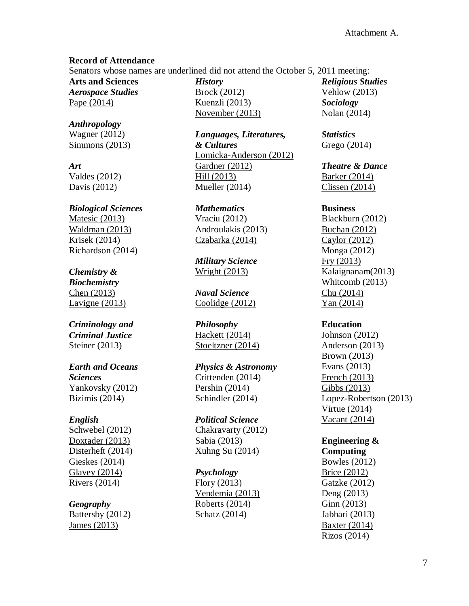#### **Record of Attendance**

Senators whose names are underlined did not attend the October 5, 2011 meeting:

**Arts and Sciences** *Aerospace Studies* Pape (2014)

*Anthropology* Wagner (2012) Simmons (2013)

*Art* Valdes (2012) Davis (2012)

### *Biological Sciences* Matesic (2013) Waldman (2013) Krisek (2014) Richardson (2014)

# *Chemistry &*

*Biochemistry* Chen (2013) Lavigne (2013)

### *Criminology and Criminal Justice* Steiner (2013)

### *Earth and Oceans Sciences* Yankovsky (2012) Bizimis (2014)

### *English*

Schwebel (2012) Doxtader (2013) Disterheft (2014) Gieskes (2014) Glavey (2014) Rivers (2014)

# *Geography*

Battersby (2012) James (2013)

*History* Brock (2012) Kuenzli (2013) November (2013)

*Languages, Literatures, & Cultures* Lomicka-Anderson (2012) Gardner (2012) Hill (2013) Mueller (2014)

*Mathematics* Vraciu (2012) Androulakis (2013) Czabarka (2014)

*Military Science* Wright (2013)

*Naval Science* Coolidge (2012)

*Philosophy* Hackett (2014) Stoeltzner (2014)

*Physics & Astronomy* Crittenden (2014) Pershin (2014) Schindler (2014)

*Political Science* Chakravarty (2012) Sabia (2013) Xuhng Su (2014)

### *Psychology*

Flory (2013) Vendemia (2013) Roberts (2014) Schatz (2014)

*Religious Studies* Vehlow (2013) *Sociology* Nolan (2014)

*Statistics* Grego (2014)

*Theatre & Dance* Barker (2014) Clissen (2014)

#### **Business**

Blackburn (2012) Buchan (2012) Caylor (2012) Monga (2012) Fry (2013) Kalaignanam(2013) Whitcomb (2013) Chu (2014) Yan (2014)

### **Education**

Johnson (2012) Anderson (2013) Brown (2013) Evans (2013) French (2013) Gibbs (2013) Lopez-Robertson (2013) Virtue (2014) Vacant (2014)

# **Engineering &**

**Computing** Bowles (2012) Brice (2012) Gatzke (2012) Deng (2013) Ginn (2013) Jabbari (2013) Baxter (2014) Rizos (2014)